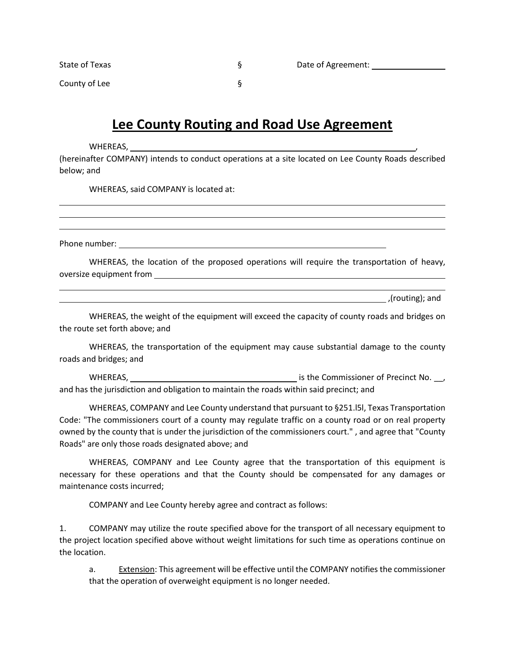| State of Texas | Date of Agreement: |  |
|----------------|--------------------|--|
| County of Lee  |                    |  |
|                |                    |  |

## **Lee County Routing and Road Use Agreement**

WHEREAS,

(hereinafter COMPANY) intends to conduct operations at a site located on Lee County Roads described below; and

WHEREAS, said COMPANY is located at:

Phone number:

WHEREAS, the location of the proposed operations will require the transportation of heavy, oversize equipment from

,(routing); and

WHEREAS, the weight of the equipment will exceed the capacity of county roads and bridges on the route set forth above; and

WHEREAS, the transportation of the equipment may cause substantial damage to the county roads and bridges; and

whereas, whereas, whereas the Commissioner of Precinct No. and has the jurisdiction and obligation to maintain the roads within said precinct; and

WHEREAS, COMPANY and Lee County understand that pursuant to §251.l5l, Texas Transportation Code: "The commissioners court of a county may regulate traffic on a county road or on real property owned by the county that is under the jurisdiction of the commissioners court." , and agree that "County Roads" are only those roads designated above; and

WHEREAS, COMPANY and Lee County agree that the transportation of this equipment is necessary for these operations and that the County should be compensated for any damages or maintenance costs incurred;

COMPANY and Lee County hereby agree and contract as follows:

1. COMPANY may utilize the route specified above for the transport of all necessary equipment to the project location specified above without weight limitations for such time as operations continue on the location.

a. Extension: This agreement will be effective until the COMPANY notifies the commissioner that the operation of overweight equipment is no longer needed.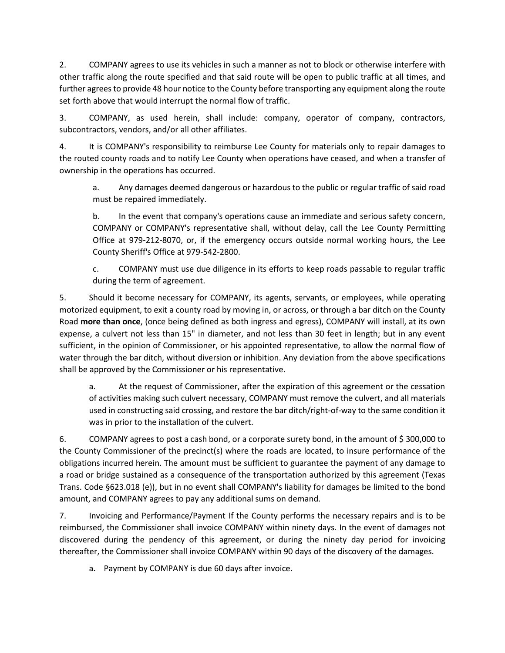2. COMPANY agrees to use its vehicles in such a manner as not to block or otherwise interfere with other traffic along the route specified and that said route will be open to public traffic at all times, and further agrees to provide 48 hour notice to the County before transporting any equipment along the route set forth above that would interrupt the normal flow of traffic.

3. COMPANY, as used herein, shall include: company, operator of company, contractors, subcontractors, vendors, and/or all other affiliates.

4. It is COMPANY's responsibility to reimburse Lee County for materials only to repair damages to the routed county roads and to notify Lee County when operations have ceased, and when a transfer of ownership in the operations has occurred.

a. Any damages deemed dangerous or hazardous to the public or regular traffic of said road must be repaired immediately.

b. In the event that company's operations cause an immediate and serious safety concern, COMPANY or COMPANY's representative shall, without delay, call the Lee County Permitting Office at 979-212-8070, or, if the emergency occurs outside normal working hours, the Lee County Sheriff's Office at 979-542-2800.

c. COMPANY must use due diligence in its efforts to keep roads passable to regular traffic during the term of agreement.

5. Should it become necessary for COMPANY, its agents, servants, or employees, while operating motorized equipment, to exit a county road by moving in, or across, or through a bar ditch on the County Road **more than once**, (once being defined as both ingress and egress), COMPANY will install, at its own expense, a culvert not less than 15" in diameter, and not less than 30 feet in length; but in any event sufficient, in the opinion of Commissioner, or his appointed representative, to allow the normal flow of water through the bar ditch, without diversion or inhibition. Any deviation from the above specifications shall be approved by the Commissioner or his representative.

a. At the request of Commissioner, after the expiration of this agreement or the cessation of activities making such culvert necessary, COMPANY must remove the culvert, and all materials used in constructing said crossing, and restore the bar ditch/right-of-way to the same condition it was in prior to the installation of the culvert.

6. COMPANY agrees to post a cash bond, or a corporate surety bond, in the amount of \$ 300,000 to the County Commissioner of the precinct(s) where the roads are located, to insure performance of the obligations incurred herein. The amount must be sufficient to guarantee the payment of any damage to a road or bridge sustained as a consequence of the transportation authorized by this agreement (Texas Trans. Code §623.018 (e)), but in no event shall COMPANY's liability for damages be limited to the bond amount, and COMPANY agrees to pay any additional sums on demand.

7. Invoicing and Performance/Payment If the County performs the necessary repairs and is to be reimbursed, the Commissioner shall invoice COMPANY within ninety days. In the event of damages not discovered during the pendency of this agreement, or during the ninety day period for invoicing thereafter, the Commissioner shall invoice COMPANY within 90 days of the discovery of the damages.

a. Payment by COMPANY is due 60 days after invoice.